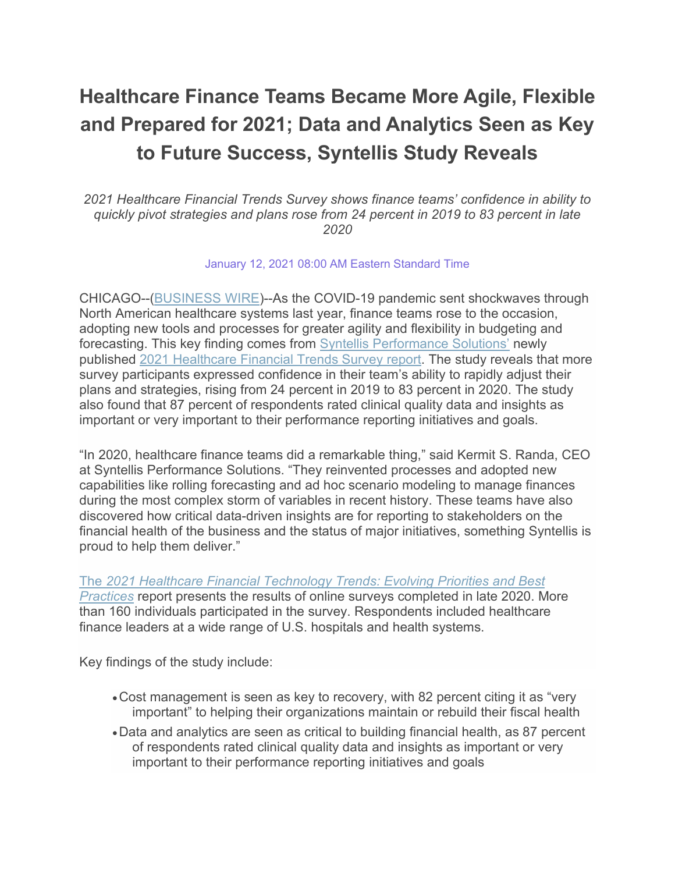## **Healthcare Finance Teams Became More Agile, Flexible and Prepared for 2021; Data and Analytics Seen as Key to Future Success, Syntellis Study Reveals**

*2021 Healthcare Financial Trends Survey shows finance teams' confidence in ability to quickly pivot strategies and plans rose from 24 percent in 2019 to 83 percent in late 2020*

January 12, 2021 08:00 AM Eastern Standard Time

CHICAGO--[\(BUSINESS WIRE\)](https://www.businesswire.com/)--As the COVID-19 pandemic sent shockwaves through North American healthcare systems last year, finance teams rose to the occasion, adopting new tools and processes for greater agility and flexibility in budgeting and forecasting. This key finding comes from [Syntellis Performance Solutions'](https://cts.businesswire.com/ct/CT?id=smartlink&url=https%3A%2F%2Fwww.syntellis.com%2F%3Futm_source%3Dagcy%26utm_medium%3Dpr%26utm_campaign%3Dhc-2021-financial-outlook-survey&esheet=52360154&newsitemid=20210112005278&lan=en-US&anchor=Syntellis+Performance+Solutions%26%238217%3B&index=1&md5=3668351d294e1faa605a152ccedf3b28) newly published [2021 Healthcare Financial Trends Survey report.](https://cts.businesswire.com/ct/CT?id=smartlink&url=https%3A%2F%2Fwww.syntellis.com%2Fresources%2Freport%2F2021-healthcare-financial-trends-report%3Futm_source%3Dagcy%26utm_medium%3Dpr%26utm_campaign%3Dhc-2021-financial-outlook-survey&esheet=52360154&newsitemid=20210112005278&lan=en-US&anchor=2021+Healthcare+Financial+Trends+Survey+report&index=2&md5=e54df0aa0103cfaeea59c0b121296681) The study reveals that more survey participants expressed confidence in their team's ability to rapidly adjust their plans and strategies, rising from 24 percent in 2019 to 83 percent in 2020. The study also found that 87 percent of respondents rated clinical quality data and insights as important or very important to their performance reporting initiatives and goals.

"In 2020, healthcare finance teams did a remarkable thing," said Kermit S. Randa, CEO at Syntellis Performance Solutions. "They reinvented processes and adopted new capabilities like rolling forecasting and ad hoc scenario modeling to manage finances during the most complex storm of variables in recent history. These teams have also discovered how critical data-driven insights are for reporting to stakeholders on the financial health of the business and the status of major initiatives, something Syntellis is proud to help them deliver."

The *[2021 Healthcare Financial Technology Trends: Evolving Priorities and Best](https://cts.businesswire.com/ct/CT?id=smartlink&url=https%3A%2F%2Fwww.syntellis.com%2Fresources%2Freport%2F2021-healthcare-financial-trends-report%3Futm_source%3Dagcy%26utm_medium%3Dpr%26utm_campaign%3Dhc-2021-financial-outlook-survey&esheet=52360154&newsitemid=20210112005278&lan=en-US&anchor=The+2021+Healthcare+Financial+Technology+Trends%3A+Evolving+Priorities+and+Best+Practices&index=3&md5=606354f06dbd148f3d212f7de2a78904)  [Practices](https://cts.businesswire.com/ct/CT?id=smartlink&url=https%3A%2F%2Fwww.syntellis.com%2Fresources%2Freport%2F2021-healthcare-financial-trends-report%3Futm_source%3Dagcy%26utm_medium%3Dpr%26utm_campaign%3Dhc-2021-financial-outlook-survey&esheet=52360154&newsitemid=20210112005278&lan=en-US&anchor=The+2021+Healthcare+Financial+Technology+Trends%3A+Evolving+Priorities+and+Best+Practices&index=3&md5=606354f06dbd148f3d212f7de2a78904)* report presents the results of online surveys completed in late 2020. More than 160 individuals participated in the survey. Respondents included healthcare finance leaders at a wide range of U.S. hospitals and health systems.

Key findings of the study include:

- •Cost management is seen as key to recovery, with 82 percent citing it as "very important" to helping their organizations maintain or rebuild their fiscal health
- •Data and analytics are seen as critical to building financial health, as 87 percent of respondents rated clinical quality data and insights as important or very important to their performance reporting initiatives and goals